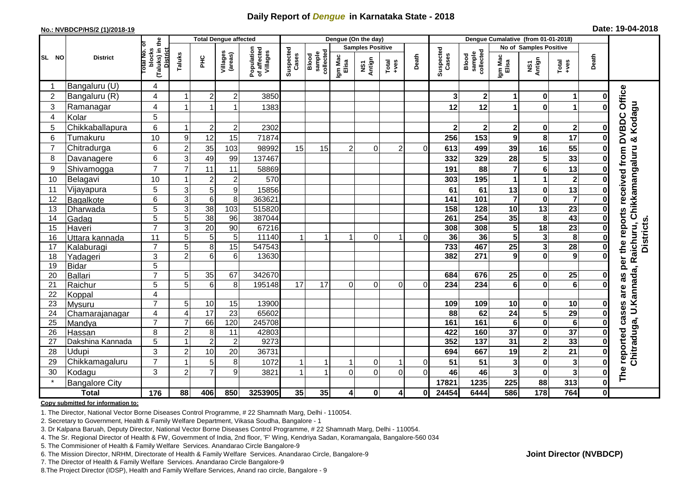## **Daily Report of** *Dengue* **in Karnataka State - 2018**

#### **No.: NVBDCP/HS/2 (1)/2018-19**

| Date: 19-04-2018 |  |  |  |  |
|------------------|--|--|--|--|
|------------------|--|--|--|--|

|                | <b>Total Dengue affected</b> |                                                       |                     |                     |                     |                                       |                    |                              |                  | Dengue (On the day)     |                                                                        |          |                    |                                     |                            |                               |                                                              |              |                                           |
|----------------|------------------------------|-------------------------------------------------------|---------------------|---------------------|---------------------|---------------------------------------|--------------------|------------------------------|------------------|-------------------------|------------------------------------------------------------------------|----------|--------------------|-------------------------------------|----------------------------|-------------------------------|--------------------------------------------------------------|--------------|-------------------------------------------|
|                |                              |                                                       |                     |                     |                     |                                       |                    |                              |                  | <b>Samples Positive</b> |                                                                        |          |                    |                                     |                            | No of Samples Positive        |                                                              |              |                                           |
| SL NO          | <b>District</b>              | (Taluks) in the<br>District<br>lotal No. ol<br>blocks | Taluks              | ĔБ                  | Villages<br>(areas) | Population<br>of affected<br>Villages | Suspected<br>Cases | sample<br>collected<br>Blood | Igm Mac<br>Elisa | NS1<br>Antign           | $\begin{array}{c}\n\text{Total} \\ \text{1}-\text{total}\n\end{array}$ | Death    | Suspected<br>Cases | collected<br><b>Blood</b><br>sample | Igm Mac<br>Elisa           | NS1<br>Antign                 | $\begin{array}{c}\n\text{Total} \\ \text{Area}\n\end{array}$ | Death        |                                           |
|                | Bangaluru (U)                | 4                                                     |                     |                     |                     |                                       |                    |                              |                  |                         |                                                                        |          |                    |                                     |                            |                               |                                                              |              |                                           |
| $\overline{2}$ | Bangaluru (R)                | 4                                                     |                     | $\overline{2}$      | $\overline{c}$      | 3850                                  |                    |                              |                  |                         |                                                                        |          | 3                  | 2 <sub>1</sub>                      | 1                          | $\mathbf 0$                   | $\mathbf 1$                                                  | 0            |                                           |
| 3              | Ramanagar                    | 4                                                     |                     |                     | 1                   | 1383                                  |                    |                              |                  |                         |                                                                        |          | 12                 | 12                                  | 1                          | $\mathbf 0$                   | $\blacktriangleleft$                                         | 0            | Office<br>& Kodagu                        |
| 4              | Kolar                        | 5                                                     |                     |                     |                     |                                       |                    |                              |                  |                         |                                                                        |          |                    |                                     |                            |                               |                                                              |              |                                           |
| 5              | Chikkaballapura              | 6                                                     | -1                  | $\overline{2}$      | $\mathbf 2$         | 2302                                  |                    |                              |                  |                         |                                                                        |          | $\overline{2}$     | $\mathbf{2}$                        | $\mathbf 2$                | $\mathbf 0$                   | $\overline{\mathbf{2}}$                                      | 0            |                                           |
| 6              | Tumakuru                     | 10                                                    | 9                   | 12                  | 15                  | 71874                                 |                    |                              |                  |                         |                                                                        |          | 256                | 153                                 | 9                          | 8                             | 17                                                           | 0            | <b>DVBDC</b>                              |
| $\overline{7}$ | Chitradurga                  | 6                                                     | $\overline{2}$      | 35                  | 103                 | 98992                                 | 15                 | 15                           | 2                | $\Omega$                | $\overline{c}$                                                         | $\Omega$ | 613                | 499                                 | 39                         | 16                            | 55                                                           | 0            |                                           |
| 8              | Davanagere                   | 6                                                     | 3                   | 49                  | 99                  | 137467                                |                    |                              |                  |                         |                                                                        |          | 332                | 329                                 | 28                         | $\overline{\mathbf{5}}$       | 33                                                           | 0            |                                           |
| 9              | Shivamogga                   | $\overline{7}$                                        | $\overline{7}$      | 11                  | 11                  | 58869                                 |                    |                              |                  |                         |                                                                        |          | 191                | 88                                  | 7                          | $6\phantom{1}$                | 13                                                           | 0            | Chikkamangaluru<br>received from          |
| 10             | Belagavi                     | 10                                                    |                     | $\overline{2}$      | $\overline{c}$      | 570                                   |                    |                              |                  |                         |                                                                        |          | 303                | 195                                 | 1                          | 1                             | $\overline{\mathbf{2}}$                                      | 0            |                                           |
| 11             | Vijayapura                   | 5                                                     | 3                   | 5                   | 9                   | 15856                                 |                    |                              |                  |                         |                                                                        |          | 61                 | 61                                  | 13                         | $\pmb{0}$                     | 13                                                           | 0            |                                           |
| 12             | Bagalkote                    | 6                                                     | $\overline{3}$      | $\overline{6}$      | 8                   | 363621                                |                    |                              |                  |                         |                                                                        |          | 141                | 101                                 | $\overline{\mathbf{7}}$    | $\mathbf 0$                   | $\overline{\mathbf{7}}$                                      | 0            |                                           |
| 13             | Dharwada                     | 5                                                     | $\mathbf{3}$        | $\overline{38}$     | 103                 | 515820                                |                    |                              |                  |                         |                                                                        |          | 158                | 128                                 | 10                         | 13                            | $\overline{23}$                                              | 0            |                                           |
| 14             | Gadag                        | $\overline{5}$                                        | 5                   | 38                  | $\overline{96}$     | 387044                                |                    |                              |                  |                         |                                                                        |          | 261                | 254                                 | 35                         | 8                             | 43                                                           | $\mathbf 0$  |                                           |
| 15             | Haveri                       | $\overline{7}$                                        | 3                   | 20                  | 90                  | 67216                                 |                    |                              |                  |                         |                                                                        |          | 308                | 308                                 | 5                          | 18                            | 23                                                           | $\bf{0}$     | per the reports<br><b>Districts</b>       |
| 16             | Uttara kannada               | 11                                                    | 5                   | 5                   | 5                   | 11140                                 |                    |                              | $\overline{1}$   | 0                       | 1                                                                      | $\Omega$ | 36                 | 36                                  | 5                          | $\mathbf{3}$                  | $\overline{\mathbf{8}}$                                      | 0            |                                           |
| 17             | Kalaburagi                   | $\overline{7}$                                        | 5                   | 8                   | $\overline{15}$     | 547543                                |                    |                              |                  |                         |                                                                        |          | 733                | 467                                 | $\overline{25}$            | 3                             | 28                                                           | 0            |                                           |
| 18             | Yadageri                     | 3                                                     | $\overline{2}$      | 6                   | 6                   | 13630                                 |                    |                              |                  |                         |                                                                        |          | 382                | 271                                 | 9                          | $\mathbf 0$                   | $\overline{9}$                                               | 0            |                                           |
| 19             | <b>Bidar</b>                 | 5                                                     |                     |                     |                     |                                       |                    |                              |                  |                         |                                                                        |          |                    |                                     |                            |                               |                                                              |              |                                           |
| 20             | <b>Ballari</b>               | $\overline{7}$                                        | 5                   | 35                  | 67                  | 342670                                |                    |                              |                  |                         |                                                                        |          | 684                | 676                                 | 25                         | $\mathbf 0$                   | $\overline{25}$                                              | $\bf{0}$     | 8g                                        |
| 21             | Raichur                      | 5                                                     | 5                   | 6                   | 8                   | 195148                                | 17                 | 17                           | 0                | $\mathbf 0$             | 0                                                                      | $\Omega$ | 234                | 234                                 | 6                          | $\mathbf 0$                   | $6\phantom{1}6$                                              | O            | are                                       |
| 22             | Koppal                       | 4                                                     |                     |                     |                     |                                       |                    |                              |                  |                         |                                                                        |          |                    |                                     |                            |                               |                                                              |              |                                           |
| 23             | Mysuru                       | $\overline{7}$                                        | 5                   | 10                  | 15                  | 13900                                 |                    |                              |                  |                         |                                                                        |          | 109                | 109                                 | 10                         | $\bf{0}$                      | 10                                                           | 0            |                                           |
| 24             | Chamarajanagar               | 4<br>$\overline{7}$                                   | $\overline{4}$      | 17                  | $\overline{23}$     | 65602                                 |                    |                              |                  |                         |                                                                        |          | 88                 | 62                                  | $\overline{24}$            | $\overline{\mathbf{5}}$       | 29                                                           | $\bf{0}$     | Chitraduga, U.Kannada, Raichuru,<br>cases |
| 25             | Mandya                       |                                                       | $\overline{7}$      | 66                  | 120                 | 245708                                |                    |                              |                  |                         |                                                                        |          | 161                | 161                                 | $\bf 6$<br>$\overline{37}$ | $\overline{\mathbf{0}}$       | $6\phantom{1}6$<br>$\overline{37}$                           | $\bf{0}$     |                                           |
| 26             | Hassan                       | 8                                                     | $\overline{2}$<br>1 | 8<br>$\overline{2}$ | 11                  | 42803<br>9273                         |                    |                              |                  |                         |                                                                        |          | 422<br>352         | 160<br>$\overline{137}$             | 31                         | $\mathbf 0$<br>$\overline{2}$ | 33                                                           | 0            |                                           |
| 27             | Dakshina Kannada             | 5<br>3                                                |                     |                     | $\overline{2}$      |                                       |                    |                              |                  |                         |                                                                        |          |                    |                                     |                            |                               | $\overline{21}$                                              | $\mathbf 0$  |                                           |
| 28             | Udupi                        | $\overline{7}$                                        | $\overline{2}$      | 10                  | 20                  | 36731                                 |                    |                              |                  |                         |                                                                        |          | 694                | 667                                 | 19                         | $\overline{\mathbf{c}}$       |                                                              | 0            | reported                                  |
| 29             | Chikkamagaluru               |                                                       |                     | 5                   | 8                   | 1072                                  |                    |                              |                  | $\Omega$                |                                                                        | $\Omega$ | 51                 | 51                                  | 3                          | $\mathbf 0$                   | $\mathbf{3}$                                                 | 0            |                                           |
| 30             | Kodagu                       | 3                                                     | $\overline{c}$      | $\overline{7}$      | 9                   | 3821                                  |                    |                              | $\Omega$         | $\mathbf 0$             | 0                                                                      | $\Omega$ | 46                 | 46                                  | 3                          | $\pmb{0}$                     | 3                                                            | 0            | The                                       |
|                | <b>Bangalore City</b>        |                                                       |                     |                     |                     |                                       |                    |                              |                  |                         |                                                                        |          | 17821              | 1235                                | 225                        | 88                            | 313                                                          | $\bf{0}$     |                                           |
|                | <b>Total</b>                 | $\frac{1}{176}$                                       | 88                  | 406                 | 850                 | 3253905                               | 35                 | 35                           | 4                | $\mathbf 0$             | $\overline{\mathbf{A}}$                                                | 01       | 24454              | 6444                                | 586                        | 178                           | 764                                                          | $\mathbf{0}$ |                                           |

#### **Copy submitted for information to:**

1. The Director, National Vector Borne Diseases Control Programme, # 22 Shamnath Marg, Delhi - 110054.

2. Secretary to Government, Health & Family Welfare Department, Vikasa Soudha, Bangalore - 1

3. Dr Kalpana Baruah, Deputy Director, National Vector Borne Diseases Control Programme, # 22 Shamnath Marg, Delhi - 110054.

4. The Sr. Regional Director of Health & FW, Government of India, 2nd floor, 'F' Wing, Kendriya Sadan, Koramangala, Bangalore-560 034

5. The Commisioner of Health & Family Welfare Services. Anandarao Circle Bangalore-9

6. The Mission Director, NRHM, Directorate of Health & Family Welfare Services. Anandarao Circle, Bangalore-9

7. The Director of Health & Family Welfare Services. Anandarao Circle Bangalore-9

8.The Project Director (IDSP), Health and Family Welfare Services, Anand rao circle, Bangalore - 9